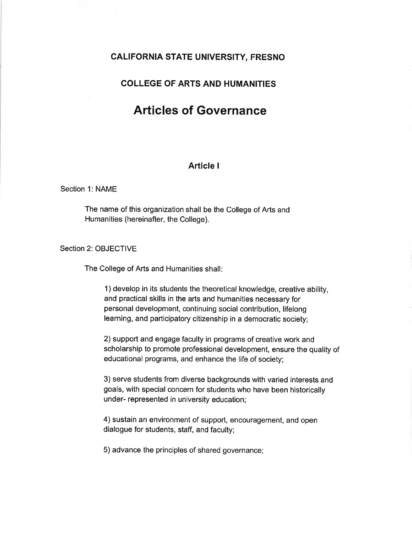# CALIFORNIA STATE UNIVERSITY, FRESNO

# COLLEGE OF ARTS AND HUMANITIES

# Articles of Governance

# Article <sup>I</sup>

# Section 1: NAME

The name of this organization shall be the College of Arts and Humanities (hereinafter, the College).

Section 2: OBJECTIVE

The College of Arts and Humanities shall

1) develop in its students the theoretical knowledge, creative ability, and practical skills in the arts and humanities necessary for personal development, continuing social contribution, lifelong learning, and participatory citizenship in a democratic society;

2) support and engage faculty in programs of creative work and scholarship to promote professional development, ensure the quality of educational programs, and enhance the life of society;

3) serve students from diverse backgrounds with varied interests and goals, with special concern for students who have been historically under- represented in university education;

4) sustain an environment of support, encouragement, and open dialogue for students, staff, and faculty;

5) advance the principles of shared governance;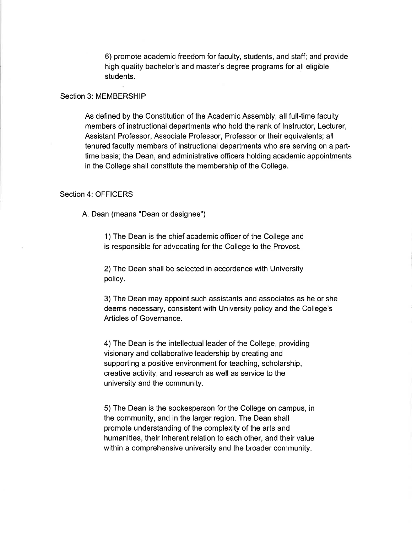6) promote academic freedom for faculty, students, and staff; and provide high quality bachelor's and master's degree programs for all eligible students.

#### Section 3: MEMBERSHIP

As defined by the Constitution of the Academic Assembly, all full-time faculty members of instructional departments who hold the rank of lnstructor, Lecturer, Assistant Professor, Associate Professor, Professor or their equivalents; all tenured faculty members of instructional departments who are serving on a parttime basis; the Dean, and administrative officers holding academic appointments in the College shall constitute the membership of the College.

#### Section 4: OFFICERS

A. Dean (means "Dean or designee")

1) The Dean is the chief academic officer of the College and is responsible for advocating for the College to the Provost.

2) The Dean shall be selected in accordance with University policy.

3) The Dean may appoint such assistants and associates as he or she deems necessary, consistent with University policy and the College's Articles of Governance.

4) The Dean is the intellectual leader of the College, providing visionary and collaborative leadership by creating and supporting a positive environment for teaching, scholarship, creative activity, and research as well as service to the university and the community.

5) The Dean is the spokesperson for the College on campus, in the community, and in the larger region. The Dean shall promote understanding of the complexity of the arts and humanities, their inherent relation to each other, and their value within a comprehensive university and the broader community.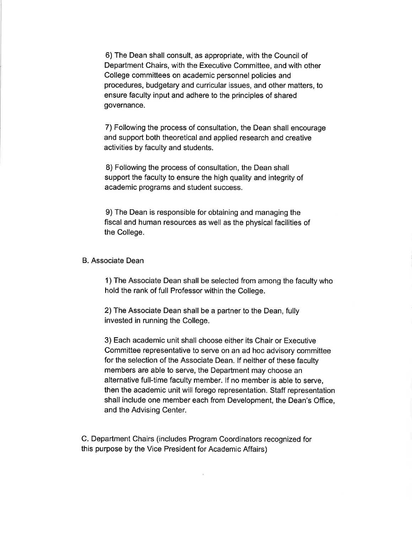6) The Dean shall consult, as appropriate, with the Council of Department Chairs, with the Executive Committee, and with other College committees on academic personnel policies and procedures, budgetary and curricular issues, and other matters, to ensure faculty input and adhere to the principles of shared governance.

7) Following the process of consultation, the Dean shall encourage and support both theoretical and applied research and creative activities by faculty and students.

8) Following the process of consultation, the Dean shall support the faculty to ensure the high quality and integrity of academic programs and student success.

9) The Dean is responsible for obtaining and managing the fiscal and human resources as well as the physical facilities of the College.

# B. Associate Dean

1) The Associate Dean shall be selected from among the faculty who hold the rank of full Professor within the College.

2) The Associate Dean shall be a partner to the Dean, fully invested in running the College.

3) Each academic unit shall choose either its Chair or Executive Committee representative to serve on an ad hoc advisory committee for the selection of the Associate Dean. lf neither of these faculty members are able to serve, the Department may choose an alternative full-time faculty member. lf no member is able to serve, then the academic unit will forego representation. Staff representation shall include one member each from Development, the Dean's Office, and the Advising Center.

C. Department Chairs (includes Program Coordinators recognized for this purpose by the Vice President for Academic Affairs)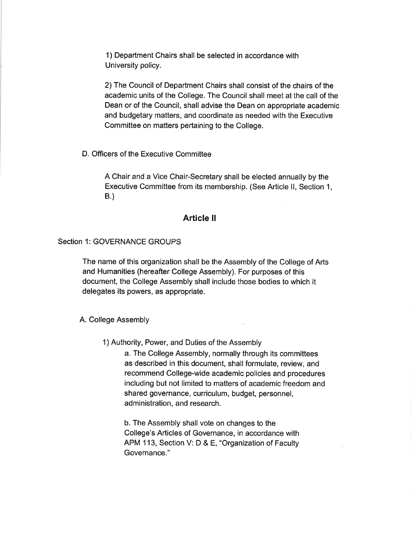1) Department Chairs shall be selected in accordance with University policy.

2) The Council of Department Chairs shall consist of the chairs of the academic units of the College. The Council shall meet at the call of the Dean or of the Council, shall advise the Dean on appropriate academic and budgetary matters, and coordinate as needed with the Executive Committee on matters pertaining to the College.

D. Officers of the Executive Committee

A Chair and a Vice Chair-Secretary shall be elected annually by the Executive Committee from its membership. (See Article ll, Section 1, B.)

# Article ll

# Section 1: GOVERNANCE GROUPS

The name of this organization shall be the Assembly of the College of Arts and Humanities (hereafter College Assembly). For purposes of this document, the College Assembly shall include those bodies to which it delegates its powers, as appropriate.

A. College Assembly

1)Authority, Power, and Duties of the Assembly

a. The College Assembly, normally through its committees as described in this document, shall formulate, review, and recommend College-wide academic policies and procedures including but not limited to matters of academic freedom and shared governance, curriculum, budget, personnel, administration, and research.

b. The Assembly shall vote on changes to the College's Articles of Governance, in accordance with APM 113, Section V: D & E, "Organization of Faculty Governance."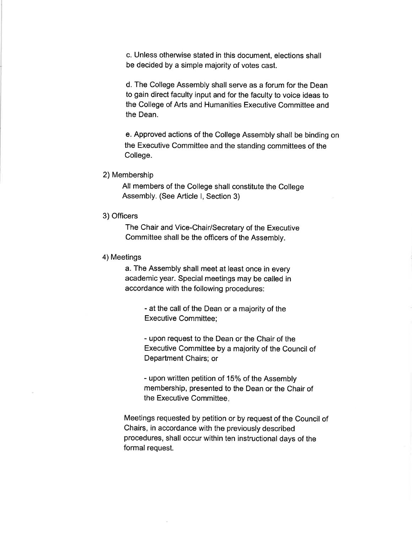c. Unless othenvise stated in this document, elections shall be decided by a simple majority of votes cast.

d. The College Assembly shall serve as a forum for the Dean to gain direct faculty input and for the faculty to voice ideas to the College of Arts and Humanities Executive Committee and the Dean.

e. Approved actions of the College Assembly shall be binding on the Executive Committee and the standing committees of the College.

#### 2) Membership

All members of the College shall constitute the College Assembly. (See Article l, Section 3)

# 3) Officers

The Chair and Vice-Chair/Secretary of the Executive Committee shall be the officers of the Assembly.

## 4) Meetings

a. The Assembly shall meet at least once in every academic year. Special meetings may be called in accordance with the following procedures:

> - at the call of the Dean or a majority of the Executive Committee;

- upon request to the Dean or the Chair of the Executive Committee by a majority of the Council of Department Chairs; or

- upon written petition of 15% of the Assembly membership, presented to the Dean or the Chair of the Executive Committee.

Meetings requested by petition or by request of the Council of Chairs, in accordance with the previously described procedures, shall occur within ten instructional days of the formal request.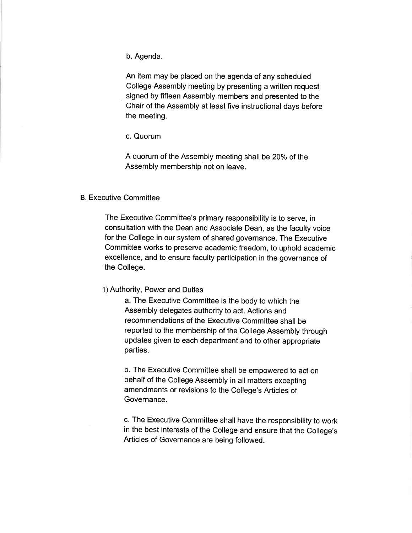b. Agenda.

An item may be placed on the agenda of any scheduled College Assembly meeting by presenting a written request signed by fifteen Assembly members and presented to the Chair of the Assembly at least five instructional days before the meeting.

c. Quorum

A quorum of the Assembly meeting shall be 20% of the Assembly membership not on leave.

## B. Executive Committee

The Executive Committee's primary responsibility is to serve, in consultation with the Dean and Associate Dean, as the faculty voice for the College in our system of shared governance. The Executive Committee works to preserve academic freedom, to uphold academic excellence, and to ensure faculty participation in the governance of the College.

# 1) Authority, Power and Duties

a. The Executive Committee is the body to which the Assembly delegates authority to act. Actions and recommendations of the Executive Committee shall be reported to the membership of the College Assembly through updates given to each department and to other appropriate parties.

b. The Executive Committee shall be empowered to act on behalf of the College Assembly in all matters excepting amendments or revisions to the College's Articles of Governance.

c. The Executive Committee shall have the responsibility to work in the best interests of the College and ensure that the College's Articles of Governance are being followed.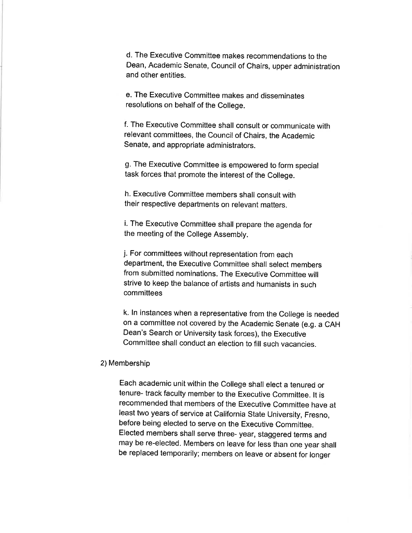d. The Executive Committee makes recommendations to the Dean, Academic Senate, Council of Chairs, upper administration and other entities.

e. The Executive Committee makes and disseminates resolutions on behalf of the College.

f. The Executive Committee shall consult or communicate with relevant committees, the Council of Chairs, the Academic Senate, and appropriate administrators.

g. The Executive Committee is empowered to form special task forces that promote the interest of the College.

h. Executive Committee members shall consult with their respective departments on relevant matters.

i. The Executive Committee shall prepare the agenda for the meeting of the College Assembly.

j. For committees without representation from each department, the Executive Committee shall select members from submitted nominations. The Executive Committee will strive to keep the balance of artists and humanists in such committees

k. ln instances when a representative from the college is needed on a committee not covered by the Academic Senate (e.g. a CAH Dean's Search or University task forces), the Executive Committee shall conduct an election to fill such vacancies.

#### 2) Membership

Each academic unit within the college shall elect a tenured or tenure- track faculty member to the Executive committee. lt is recommended that members of the Executive committee have at least two years of service at california state University, Fresno, before being elected to serve on the Executive Committee. Elected members shall serve three- year, staggered terms and may be re-elected. Members on leave for less than one year shall be replaced temporarily; members on leave or absent for longer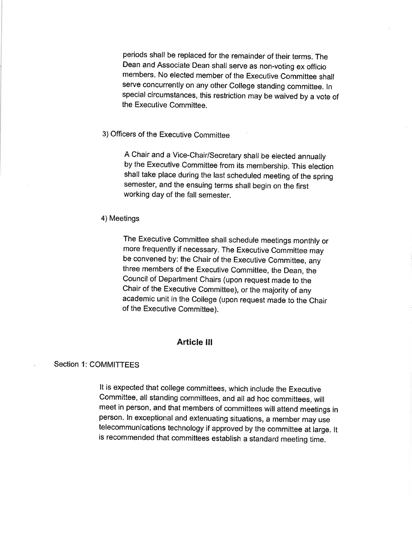periods shall be replaced for the remainder of their terms. The Dean and Associate Dean shall serve as non-voting ex officio members. No elected member of the Executive committee shall serve concurrently on any other College standing committee. In special circumstances, this restriction may be waived by a vote of the Executive Committee.

# 3) Officers of the Executive Committee

A chair and a Vice-chair/secretary shall be elected annually by the Executive committee from its membership. This election shall take place during the last scheduled meeting of the spring semester, and the ensuing terms shall begin on the first working day of the fall semester.

## 4) Meetings

The Executive committee shall schedule meetings monthly or more frequently if necessary. The Executive Committee may be convened by: the Chair of the Executive Committee, any three members of the Executive Committee, the Dean, the Council of Department Chairs (upon request made to the Chair of the Executive Committee), or the majority of any academic unit in the college (upon request made to the chair of the Executive Committee).

## Article lll

#### Section 1: COMMITTEES

It is expected that college committees, which include the Executive committee, all standing committees, and all ad hoc committees, will meet in person, and that members of committees will attend meetings in person. ln exceptional and extenuating situations, a member may use telecommunications technology if approved by the committee at large. lt is recommended that committees establish a standard meeting time.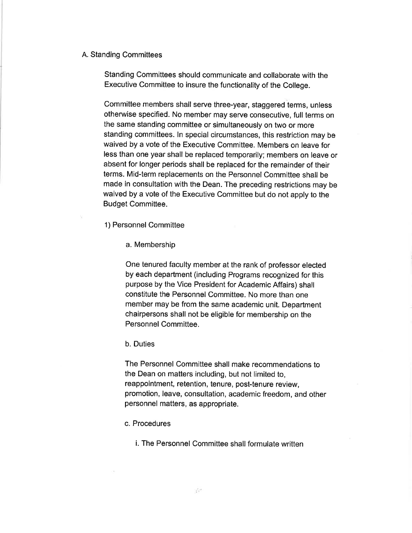# A. Standing Committees

Standing Committees should communicate and collaborate with the Executive Committee to insure the functionality of the College.

Committee members shall serve three-year, staggered terms, unless otheruvise specified. No member may serve consecutive, full terms on the same standing committee or simultaneously on two or more standing committees. ln special circumstances, this restriction may be waived by a vote of the Executive Committee. Members on leave for less than one year shall be replaced temporarily; members on leave or absent for longer periods shall be replaced for the remainder of their terms. Mid-term replacements on the Personnel Committee shall be made in consultation with the Dean. The preceding restrictions may be waived by a vote of the Executive Committee but do not apply to the Budget Committee.

1) Personnel Committee

a. Membership

One tenured faculty member at the rank of professor elected by each department (including Programs recognized for this purpose by the Vice President for Academic Affairs) shall constitute the Personnel Committee. No more than one member may be from the same academic unit. Department chairpersons shall not be eligible for membership on the Personnel Committee.

b. Duties

The Personnel Committee shall make recommendations to the Dean on matters including, but not limited to, reappointment, retention, tenure, post-tenure review, promotion, leave, consultation, academic freedom, and other personnel matters, as appropriate.

c. Procedures

i. The Personnel Committee shall formulate written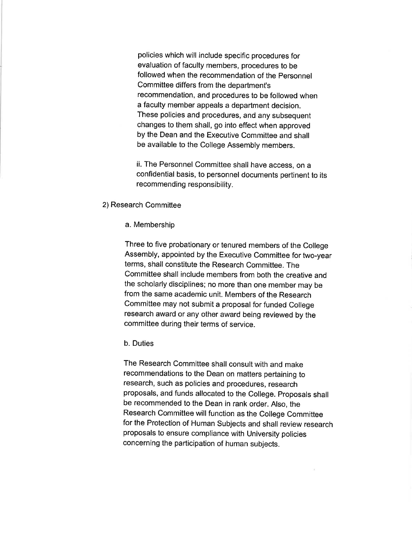policies which will include specific procedures for evaluation of faculty members, procedures to be followed when the recommendation of the Personnel Committee differs from the department's recommendation, and procedures to be followed when a faculty member appeals a department decision. These policies and procedures, and any subsequent changes to them shall, go into effect when approved by the Dean and the Executive Committee and shall be available to the College Assembly members.

ii. The Personnel Committee shall have access, on a confidential basis, to personnel documents pertinent to its recommending responsibility.

- 2)Research Committee
	- a. Membership

Three to five probationary or tenured members of the College Assembly, appointed by the Executive Committee for two-year terms, shall constitute the Research Committee. The Committee shall include members from both the creative and the scholarly disciplines; no more than one member may be from the same academic unit. Members of the Research Committee may not submit a proposal for funded College research award or any other award being reviewed by the committee during their terms of service.

b. Duties

The Research Committee shall consult with and make recommendations to the Dean on matters pertaining to research, such as policies and procedures, research proposals, and funds allocated to the College. Proposals shall be recommended to the Dean in rank order. Also, the Research Committee will function as the College Committee for the Protection of Human Subjects and shall review research proposals to ensure compliance with University policies concerning the participation of human subjects.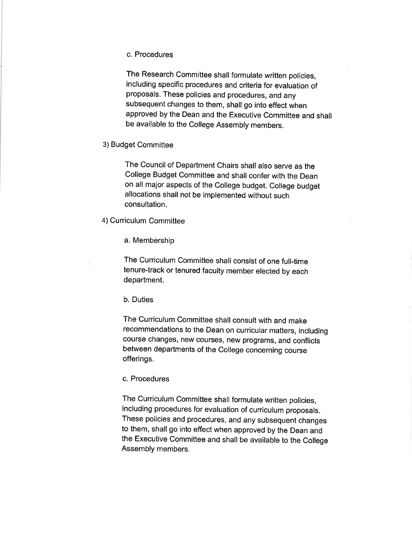#### c. Procedures

The Research Committee shall formulate written policies, including specific procedures and criteria for evaluation of proposals. These policies and procedures, and any subsequent changes to them, shall go into effect when approved by the Dean and the Executive Committee and shall be available to the College Assembly members.

## 3)Budget Committee

The Council of Department Chairs shall also serve as the College Budget Committee and shall confer with the Dean on all major aspects of the College budget. College budget allocations shall not be implemented without such consultation.

## 4) Curriculum Committee

a. Membership

The Curriculum Committee shall consist of one full-time tenure-track or tenured faculty member elected by each department.

# b. Duties

The Curriculum Committee shall consult with and make recommendations to the Dean on curricular matters, including course changes, new courses, new programs, and conflicts between departments of the College concerning course offerings.

#### c. Procedures

The Curriculum Committee shall formulate written policies, including procedures for evaluation of curriculum proposals. These policies and procedures, and any subsequent changes to them, shall go into effect when approved by the Dean and the Executive committee and shall be available to the college Assembly members.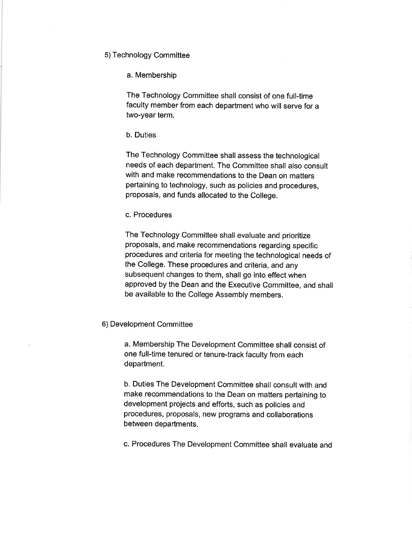# 5) Technology Committee

#### a. Membership

The Technology Committee shall consist of one full-time faculty member from each department who will serve for a two-year term.

# b. Duties

The Technology Committee shall assess the technological needs of each department. The Committee shall also consult with and make recommendations to the Dean on matters pertaining to technology, such as policies and procedures, proposals, and funds allocated to the College.

# c. Procedures

The Technology Committee shall evaluate and prioritize proposals, and make recommendations regarding specific procedures and criteria for meeting the technological needs of the College. These procedures and criteria, and any subsequent changes to them, shall go into effect when approved by the Dean and the Executive Committee, and shall be available to the College Assembly members.

## 6) Development Committee

a. Membership The Development Committee shall consist of one full-time tenured or tenure-track faculty from each department.

b. Duties The Development Committee shall consult with and make recommendations to the Dean on matters pertaining to development projects and efforts, such as policies and procedures, proposals, new programs and collaborations between departments.

c. Procedures The Development Committee shall evaluate and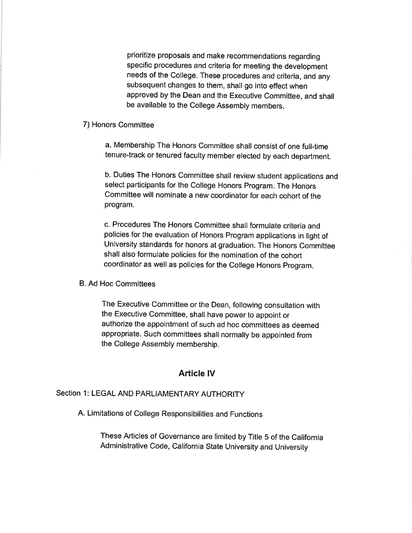prioritize proposals and make recommendations regarding specific procedures and criteria for meeting the development needs of the College. These procedures and criteria, and any subsequent changes to them, shall go into effect when approved by the Dean and the Executive Committee, and shall be available to the College Assembly members.

## 7) Honors Committee

a. Membership The Honors committee shall consist of one full-time tenure-track or tenured faculty member elected by each department.

b. Duties The Honors committee shall review student applications and select participants for the College Honors Program. The Honors committee will nominate a new coordinator for each cohort of the program.

c. Procedures The Honors committee shall formulate criteria and policies for the evaluation of Honors Program applications in light of University standards for honors at graduation. The Honors committee shall also formulate policies for the nomination of the cohort coordinator as well as policies for the College Honors program.

## B. Ad Hoc Committees

The Executive committee or the Dean, following consultation with the Executive Committee, shall have power to appoint or authorize the appointment of such ad hoc committees as deemed appropriate. Such committees shall normally be appointed from the College Assembly membership.

# Article lV

# Section 1: LEGAL AND PARLIAMENTARY AUTHORITY

A. Limitations of College Responsibilities and Functions

These Articles of Governance are limited by Tifle 5 of the california Administrative code, california state University and University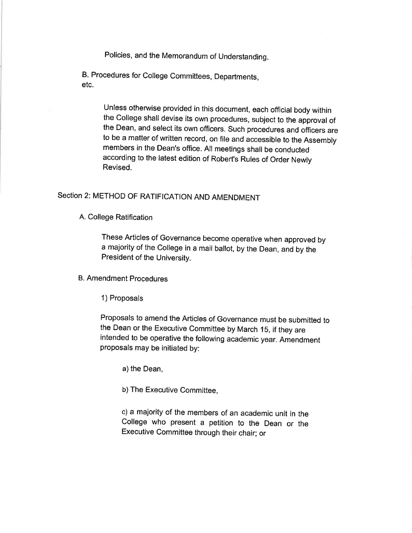Policies, and the Memorandum of Understanding.

B. Procedures for College Committees, Departments, etc.

> Unless otherwise provided in this document, each official body within the college shall devise its own procedures, subject to the approval of the Dean, and select its own officers. such procedures and officers are to be a matter of written record, on file and accessible to the Assembly members in the Dean's office. All meetings shall be conducted according to the latest edition of Robert's Rules of order Newly Revised.

# Section 2: METHOD OF RATIFICATION AND AMENDMENT

A. College Ratification

These Articles of Governance become operative when approved by a majority of the College in a mail ballot, by the Dean, and by the President of the University.

B. Amendment Procedures

1) Proposals

Proposals to amend the Articles of Governance must be submitted to the Dean or the Executive Committee by March 1S, if they are intended to be operative the following academic year. Amendment proposals may be initiated by:

a) the Dean,

b) The Executive Committee,

c) a majority of the members of an academic unit in the College who present a petition to the Dean or the Executive Committee through their chair; or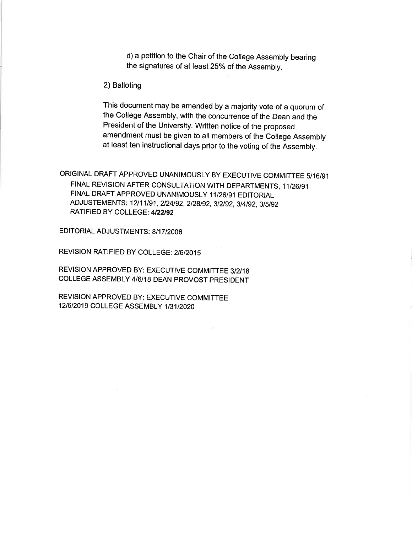d) a petition to the Chair of the College Assembly bearing the signatures of at least 25% of the Assembly.

2) Balloting

This document may be amended by a majority vote of a quorum of the college Assembly, with the concurrence of the Dean and the President of the University. Written notice of the proposed amendment must be given to all members of the college Assembly at least ten instructional days prior to the voting of the Assembly.

ORIGINAL DRAFT APPROVED UNANIMOUSLY BY EXECUTIVE COMMITTEE <sup>5116191</sup> FINAL REVISION AFTER CONSULTATION WITH DEPARTMENTS, 11/26/91 FINAL DRAFT APPROVED UNANIMOUSLY 11/26/91 EDITORIAL ADJUSTEMENTS: 12/11/91, 2/24/92, 2/28/92, 3/2/92, 3/4/92, 3/5/92 RATIFIED BY COLLEGE: 4/22/92

EDITORIAL ADJUSTMENTS: B/1 7/2006

REVISION RATIFIED BY COLLEGE: 2/6/2015

REVISION APPROVED BY: EXECUTIVE COMMITTEE 3/2/18 COLLEGE ASSEMBLY 416118 DEAN PROVOST PRESIDENT

REVISION APPROVED BY: EXECUTIVE COMMITTEE 12/6/2019 COLLEGE ASSEMBLY 1/31/2020